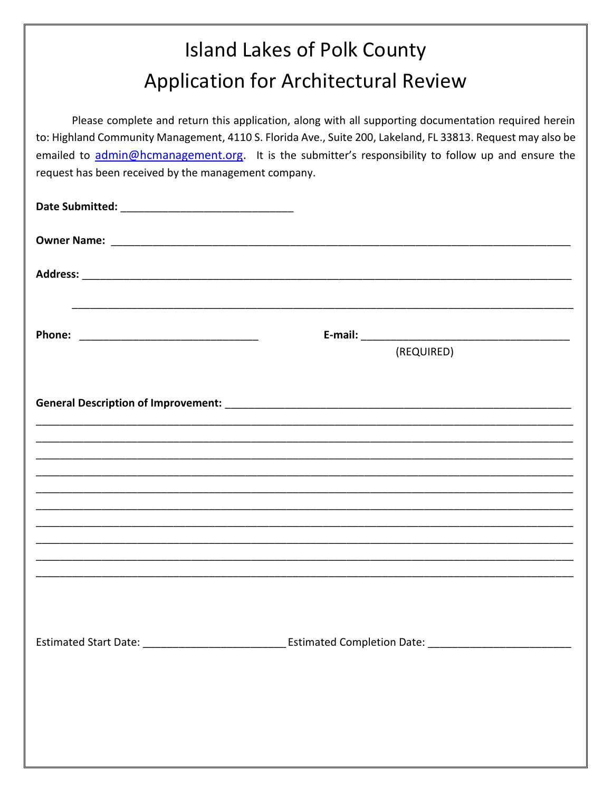## **Island Lakes of Polk County Application for Architectural Review**

Please complete and return this application, along with all supporting documentation required herein to: Highland Community Management, 4110 S. Florida Ave., Suite 200, Lakeland, FL 33813. Request may also be emailed to admin@hcmanagement.org. It is the submitter's responsibility to follow up and ensure the request has been received by the management company.

| (REQUIRED) |
|------------|
|            |
|            |
|            |
|            |
|            |
|            |
|            |
|            |
|            |
|            |
|            |
|            |
|            |
|            |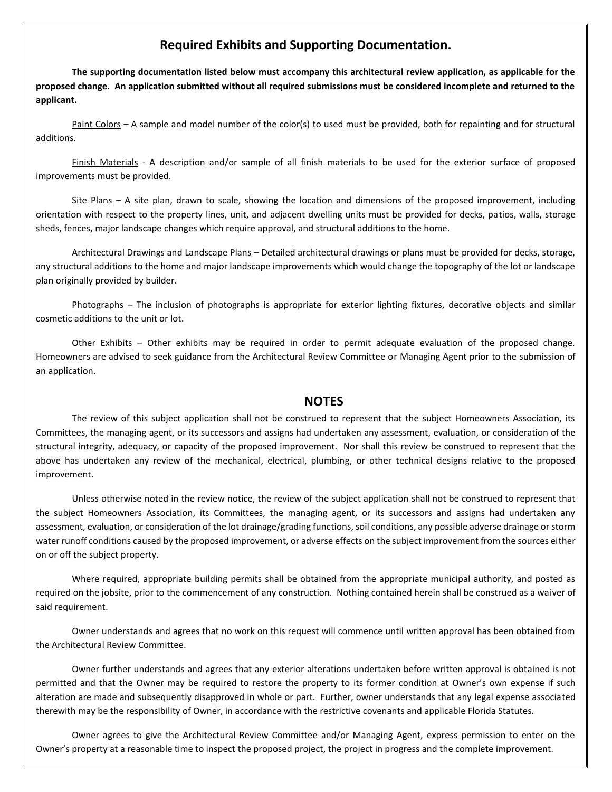## **Required Exhibits and Supporting Documentation.**

**The supporting documentation listed below must accompany this architectural review application, as applicable for the proposed change. An application submitted without all required submissions must be considered incomplete and returned to the applicant.**

Paint Colors – A sample and model number of the color(s) to used must be provided, both for repainting and for structural additions.

Finish Materials - A description and/or sample of all finish materials to be used for the exterior surface of proposed improvements must be provided.

Site Plans – A site plan, drawn to scale, showing the location and dimensions of the proposed improvement, including orientation with respect to the property lines, unit, and adjacent dwelling units must be provided for decks, patios, walls, storage sheds, fences, major landscape changes which require approval, and structural additions to the home.

Architectural Drawings and Landscape Plans – Detailed architectural drawings or plans must be provided for decks, storage, any structural additions to the home and major landscape improvements which would change the topography of the lot or landscape plan originally provided by builder.

Photographs – The inclusion of photographs is appropriate for exterior lighting fixtures, decorative objects and similar cosmetic additions to the unit or lot.

Other Exhibits – Other exhibits may be required in order to permit adequate evaluation of the proposed change. Homeowners are advised to seek guidance from the Architectural Review Committee or Managing Agent prior to the submission of an application.

## **NOTES**

The review of this subject application shall not be construed to represent that the subject Homeowners Association, its Committees, the managing agent, or its successors and assigns had undertaken any assessment, evaluation, or consideration of the structural integrity, adequacy, or capacity of the proposed improvement. Nor shall this review be construed to represent that the above has undertaken any review of the mechanical, electrical, plumbing, or other technical designs relative to the proposed improvement.

Unless otherwise noted in the review notice, the review of the subject application shall not be construed to represent that the subject Homeowners Association, its Committees, the managing agent, or its successors and assigns had undertaken any assessment, evaluation, or consideration of the lot drainage/grading functions, soil conditions, any possible adverse drainage or storm water runoff conditions caused by the proposed improvement, or adverse effects on the subject improvement from the sources either on or off the subject property.

Where required, appropriate building permits shall be obtained from the appropriate municipal authority, and posted as required on the jobsite, prior to the commencement of any construction. Nothing contained herein shall be construed as a waiver of said requirement.

Owner understands and agrees that no work on this request will commence until written approval has been obtained from the Architectural Review Committee.

Owner further understands and agrees that any exterior alterations undertaken before written approval is obtained is not permitted and that the Owner may be required to restore the property to its former condition at Owner's own expense if such alteration are made and subsequently disapproved in whole or part. Further, owner understands that any legal expense associated therewith may be the responsibility of Owner, in accordance with the restrictive covenants and applicable Florida Statutes.

Owner agrees to give the Architectural Review Committee and/or Managing Agent, express permission to enter on the Owner's property at a reasonable time to inspect the proposed project, the project in progress and the complete improvement.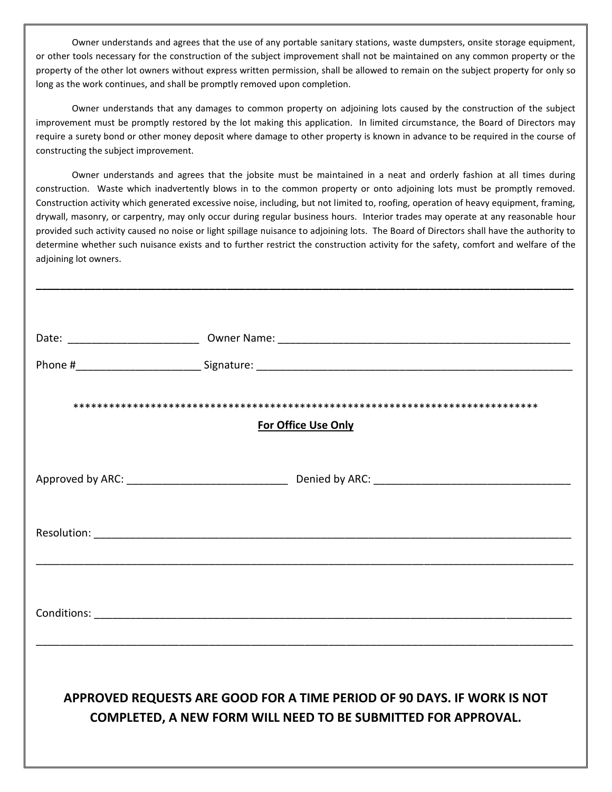Owner understands and agrees that the use of any portable sanitary stations, waste dumpsters, onsite storage equipment, or other tools necessary for the construction of the subject improvement shall not be maintained on any common property or the property of the other lot owners without express written permission, shall be allowed to remain on the subject property for only so long as the work continues, and shall be promptly removed upon completion.

Owner understands that any damages to common property on adjoining lots caused by the construction of the subject improvement must be promptly restored by the lot making this application. In limited circumstance, the Board of Directors may require a surety bond or other money deposit where damage to other property is known in advance to be required in the course of constructing the subject improvement.

Owner understands and agrees that the jobsite must be maintained in a neat and orderly fashion at all times during construction. Waste which inadvertently blows in to the common property or onto adjoining lots must be promptly removed. Construction activity which generated excessive noise, including, but not limited to, roofing, operation of heavy equipment, framing, drywall, masonry, or carpentry, may only occur during regular business hours. Interior trades may operate at any reasonable hour provided such activity caused no noise or light spillage nuisance to adjoining lots. The Board of Directors shall have the authority to determine whether such nuisance exists and to further restrict the construction activity for the safety, comfort and welfare of the adjoining lot owners.

**\_\_\_\_\_\_\_\_\_\_\_\_\_\_\_\_\_\_\_\_\_\_\_\_\_\_\_\_\_\_\_\_\_\_\_\_\_\_\_\_\_\_\_\_\_\_\_\_\_\_\_\_\_\_\_\_\_\_\_\_\_\_\_\_\_\_\_\_\_\_\_\_\_\_\_\_\_\_\_\_\_\_\_\_\_\_\_\_\_\_**

| <b>For Office Use Only</b>                                                                                                               |  |  |
|------------------------------------------------------------------------------------------------------------------------------------------|--|--|
|                                                                                                                                          |  |  |
|                                                                                                                                          |  |  |
|                                                                                                                                          |  |  |
| APPROVED REQUESTS ARE GOOD FOR A TIME PERIOD OF 90 DAYS. IF WORK IS NOT<br>COMPLETED, A NEW FORM WILL NEED TO BE SUBMITTED FOR APPROVAL. |  |  |